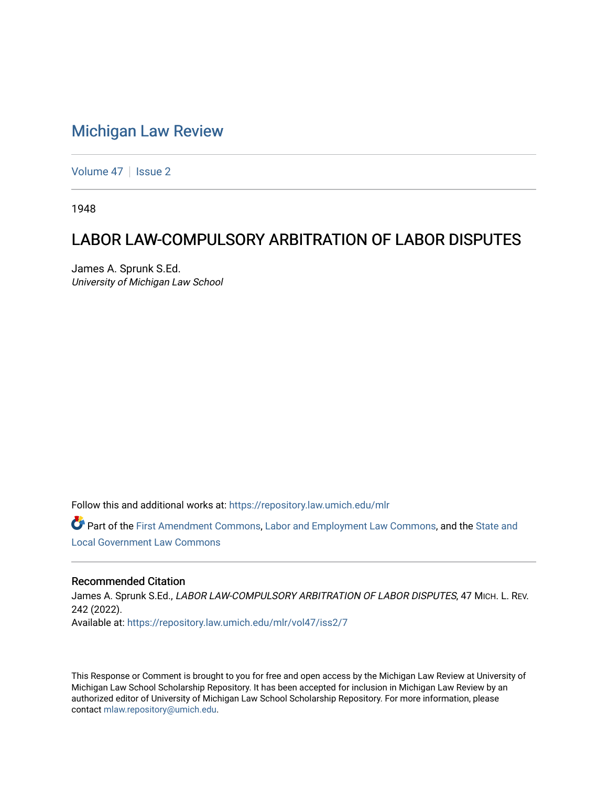## [Michigan Law Review](https://repository.law.umich.edu/mlr)

[Volume 47](https://repository.law.umich.edu/mlr/vol47) | [Issue 2](https://repository.law.umich.edu/mlr/vol47/iss2)

1948

# LABOR LAW-COMPULSORY ARBITRATION OF LABOR DISPUTES

James A. Sprunk S.Ed. University of Michigan Law School

Follow this and additional works at: [https://repository.law.umich.edu/mlr](https://repository.law.umich.edu/mlr?utm_source=repository.law.umich.edu%2Fmlr%2Fvol47%2Fiss2%2F7&utm_medium=PDF&utm_campaign=PDFCoverPages) 

Part of the [First Amendment Commons,](http://network.bepress.com/hgg/discipline/1115?utm_source=repository.law.umich.edu%2Fmlr%2Fvol47%2Fiss2%2F7&utm_medium=PDF&utm_campaign=PDFCoverPages) [Labor and Employment Law Commons](http://network.bepress.com/hgg/discipline/909?utm_source=repository.law.umich.edu%2Fmlr%2Fvol47%2Fiss2%2F7&utm_medium=PDF&utm_campaign=PDFCoverPages), and the [State and](http://network.bepress.com/hgg/discipline/879?utm_source=repository.law.umich.edu%2Fmlr%2Fvol47%2Fiss2%2F7&utm_medium=PDF&utm_campaign=PDFCoverPages)  [Local Government Law Commons](http://network.bepress.com/hgg/discipline/879?utm_source=repository.law.umich.edu%2Fmlr%2Fvol47%2Fiss2%2F7&utm_medium=PDF&utm_campaign=PDFCoverPages)

## Recommended Citation

James A. Sprunk S.Ed., LABOR LAW-COMPULSORY ARBITRATION OF LABOR DISPUTES, 47 MICH. L. REV. 242 (2022). Available at: [https://repository.law.umich.edu/mlr/vol47/iss2/7](https://repository.law.umich.edu/mlr/vol47/iss2/7?utm_source=repository.law.umich.edu%2Fmlr%2Fvol47%2Fiss2%2F7&utm_medium=PDF&utm_campaign=PDFCoverPages)

This Response or Comment is brought to you for free and open access by the Michigan Law Review at University of Michigan Law School Scholarship Repository. It has been accepted for inclusion in Michigan Law Review by an authorized editor of University of Michigan Law School Scholarship Repository. For more information, please contact [mlaw.repository@umich.edu](mailto:mlaw.repository@umich.edu).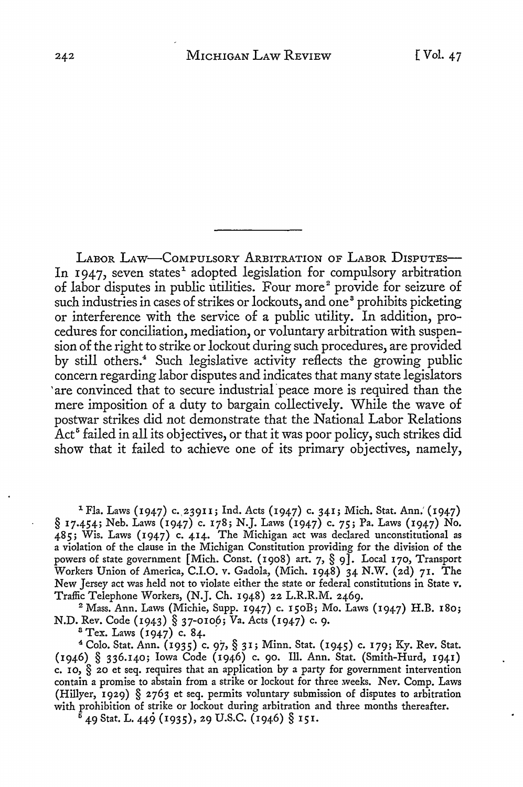LABOR LAW-COMPULSORY ARBITRATION OF LABOR DISPUTES-In 1947, seven states<sup>1</sup> adopted legislation for compulsory arbitration of labor disputes in public utilities. Four more<sup>2</sup> provide for seizure of such industries in cases of strikes or lockouts, and one<sup>8</sup> prohibits picketing or interference with the service of a public utility. In addition, procedures for conciliation, mediation, or voluntary arbitration with suspension of the right to strike or lockout during such procedures, are provided by still others.<sup>4</sup> Such legislative activity reflects the growing public concern regarding labor disputes and indicates that many state legislators 'are convinced that to secure industrial· peace more is required than the mere imposition of a duty to bargain collectively. While the wave of postwar strikes did not demonstrate that the National Labor Relations Act<sup>5</sup> failed in all its objectives, or that it was poor policy, such strikes did show that it failed to achieve one of its primary objectives, namely,

<sup>1</sup> Fla. Laws (1947) c. 23911; Ind. Acts (1947) c. 341; Mich. Stat. Ann. (1947) § 17.454; Neb. Laws (1947) c. 178; N.J. Laws (1947) c. *75;* Pa. Laws (1947) No. 485; Wis. Laws (1947) c. 414. The Michigan act was declared unconstitutional as a violation of the clause in the Michigan Constitution providing for the division of the powers of state government [Mich. Const. (1908) art. 7, § 9]. Local 170, Transport Workers Union of America, C.I.O. v. Gadola, (Mich. 1948) 34 N.W. (2d) 71. The New Jersey act was held not to violate either the state or federal constitutions in State v. Traffic Telephone Workers, (N.J. Ch. 1948) 22 L.R.R.M. 2469.

<sup>2</sup>Mass. Ann. Laws (Michie, Supp. 1947) c. 150B; Mo. Laws (1947) H.B. **180;**  N.D. Rev. Code (1943) § 37-0106; Va. Acts (1947) c. 9.

8 Tex. Laws (1947) c. 84.

<sup>4</sup>Colo. Stat. Ann. (1935) c. 97, § 3 I; Minn. Stat. (1945) c. 179; Ky. Rev. Stat. (1946) § 336.140; Iowa Code (1946) c. 90. Ill. Ann. Stat. (Smith-Hurd, 1941) c. 10,  $\S$  20 et seq. requires that an application by a party for government intervention contain a promise to abstain from a strike or lockout for three weeks. Nev. Comp. Laws (Hillyer, 1929) § 2763 et seq. permits voluntary submission of disputes to arbitration with prohibition of strike or lockout during arbitration and three months thereafter.

5 49 Stat. L. 449 (1935), 29 U.S.C. (1946) § 151.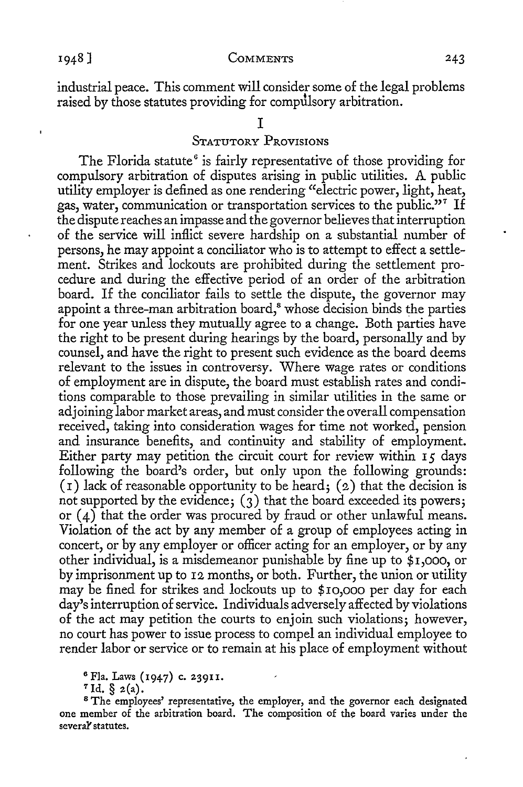industrial peace. This comment will consider some of the legal problems raised by those statutes providing for compulsory arbitration.

### I

### STATUTORY PROVISIONS

The Florida statute<sup>6</sup> is fairly representative of those providing for compulsory arbitration of disputes arising in public utilities. A public utility employer is defined as one rendering "electric power, light, heat, gas, water, communication or transportation services to the public."<sup>7</sup> If the dispute reaches an impasse and the governor believes that interruption of the service will inflict severe hardship on a substantial number of persons, he may appoint a conciliator who is to attempt to effect a settlement. Strikes and lockouts are prohibited during the settlement procedure and during the effective period of an order of the arbitration board. If the conciliator fails to settle the dispute, the governor may appoint a three-man arbitration board,<sup>8</sup> whose decision binds the parties for one year unless they mutually agree to a change. Both parties have the right to be present during hearings by the board, personally and by counsel, and have the right to present such evidence as the board deems relevant to the issues in controversy. Where wage rates or conditions of employment are in dispute, the board must establish rates and conditions comparable to those prevailing in similar utilities in the same or adjoining labor market areas, and must consider the overall compensation received, taking into consideration wages for time not worked, pension and insurance benefits, and continuity and stability of employment. Either party may petition the circuit court for review within I *5* days following the board's order, but only upon the following grounds:  $(1)$  lack of reasonable opportunity to be heard;  $(2)$  that the decision is not supported by the evidence;  $(3)$  that the board exceeded its powers; or  $(4)$  that the order was procured by fraud or other unlawful means. Violation of the act by any member of a group of employees acting in concert, or by any employer or officer acting for an employer, or by any other individual, is a misdemeanor punishable by fine up to *\$* I ,ooo, or by imprisonment up to 12 months, or both. Further, the union or utility may be fined for strikes and lockouts up to \$10,000 per day for each day's interruption of service. Individuals adversely affected by violations of the act may petition the courts to enjoin such violations; however, no court has power to issue process to compel an individual employee to render labor or service or to remain at his place of employment without

<sup>6</sup>Fla. Laws (1947) c. 23911.

 $7$  Id. §  $2(a)$ .

<sup>8</sup>The employees' representative, the employer, and the governor each designated one member of the arbitration board. The composition of the board varies under the severaY statutes.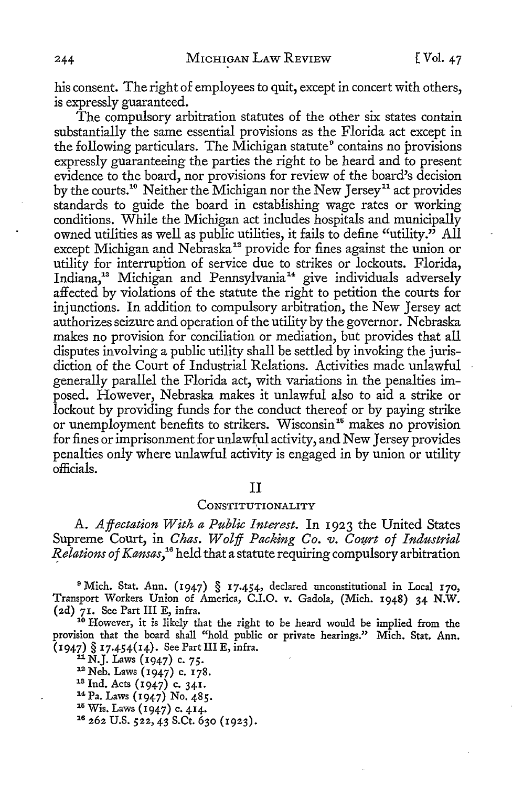his consent. The right of employees to quit, except in concert with others, is expressly guaranteed.

The compulsory arbitration statutes of the other six states contain substantially the same essential provisions as the Florida act except in the following particulars. The Michigan statute<sup>9</sup> contains no provisions expressly guaranteeing the parties the right to be heard and to present evidence to the board, nor provisions for review of the board's decision by the courts.<sup>10</sup> Neither the Michigan nor the New Jersey<sup>11</sup> act provides standards *to* guide the board in establishing wage rates or working conditions. While the Michigan act includes hospitals and municipally owned utilities as well as public utilities, it fails *to* define "utility." All except Michigan and Nebraska<sup>12</sup> provide for fines against the union or utility for interruption of service due to strikes or lockouts. Florida, Indiana,<sup>13</sup> Michigan and Pennsylvania<sup>14</sup> give individuals adversely affected by violations of the statute the right to petition the courts for injunctions. In addition to compulsory arbitration, the New Jersey act authorizes seizure and operation of the utility by the governor. Nebraska makes no provision for conciliation or mediation, but provides that all disputes involving a public utility shall be settled by invoking the jurisdiction of the Court of Industrial Relations. Activities made unlawful generally parallel the Florida act, with variations in the penalties imposed. However, Nebraska makes it unlawful also to aid a strike or lockout by providing funds for the conduct thereof or by paying strike or unemployment benefits to strikers. Wisconsin<sup>15</sup> makes no provision for fines or imprisonment for unlawful activity, and New Jersey provides penalties only where unlawful activity is engaged in by union or utility officials.

#### II

#### CONSTITUTIONALITY

A. *Affectation With a Public Interest.* In 1923 the United States Supreme Court, in *Chas. Wolff Packing Co. v. Court of Industrial ~elations of Kansas,* 16 held that a statute requiring compulsory arbitration

<sup>9</sup>Mich. Stat. Ann. (1947) § 17.454, declared unconstitutional in Local 170, Transport Workers Union of America, C.I.O. v. Gadola, (Mich. 1948) 34 N.W. (2d) 71. See Part III E, infra.

<sup>10</sup> However, it is likely that the right to be heard would be implied from the provision that the board shall "hold public or private hearings." Mich. Stat. Ann.  $(1947)$  § 17.454(14). See Part III E, infra.<br>
<sup>11</sup> N.J. Laws (1947) c. 75.<br>
<sup>12</sup> Neb. Laws (1947) c. 178.<br>
<sup>13</sup> Ind. Acts (1947) c. 341.<br>
<sup>14</sup> Pa. Laws (1947) No. 485.<br>
<sup>15</sup> Wis. Laws (1947) c. 414.<br>
<sup>16</sup> 262 U.S. 522, 4

- 
-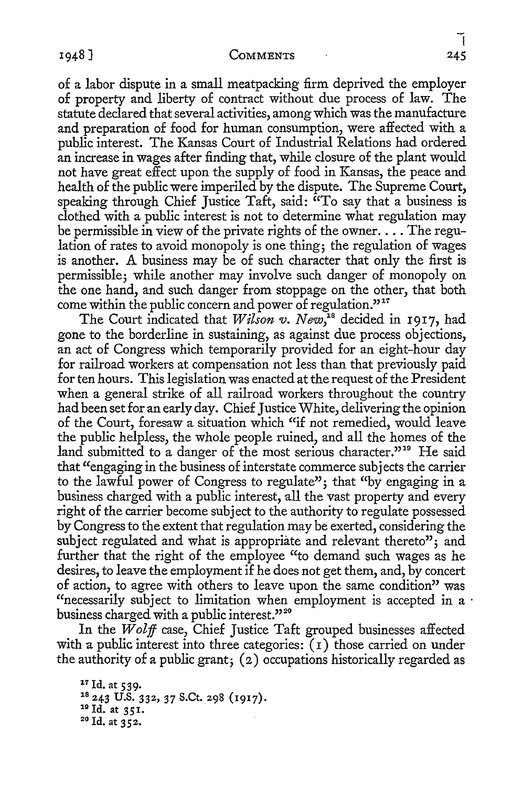of a labor dispute in a small meatpacking firm deprived the employer of property and liberty of contract without due process of law. The statute declared that several activities, among which was the manufacture and preparation of food for human consumption, were affected with a public interest. The Kansas Court of Industrial Relations had ordered an increase in wages after finding that, while closure of the plant would not have great effect upon the supply of food in Kansas, the peace and health of the public were imperiled by the dispute. The Supreme Court, speaking through Chief Justice Taft, said:  $\alpha$ To say that a business is clothed with a public interest is not to determine what regulation may be permissible in view of the private rights of the owner.... The regulation of rates to avoid monopoly is one thing; the regulation of wages is another. A business may be of such character that only the first is permissible; while another may involve such danger of monopoly on the one hand, and such danger from stoppage on the other, that both come within the public concern and power of regulation."<sup>17</sup>

The Court indicated that *Wilson v. New*,<sup>18</sup> decided in 1917, had gone to the borderline in sustaining, as against due process objections, an act of Congress which temporarily provided for an eight-hour day for railroad workers at compensation not less than that previously paid for ten hours. This legislation was enacted at the request of the President when a general strike of all railroad workers throughout the country had been set for an early day. Chief Justice White, delivering the opinion of the Court, foresaw a situation which "if not remedied, would leave the public helpless, the whole people ruined, and all the homes of the land submitted to a danger of the most serious character."<sup>10</sup> He said that "engaging in the business of interstate commerce subjects the carrier to the lawful power of Congress to regulate"; that "by engaging in a business charged with a public interest, all the vast property and every right of the carrier become subject to the authority to regulate possessed by Congress to the extent that regulation may be exerted, considering the subject regulated and what is appropriate and relevant thereto"; and further that the right of the employee "to demand such wages as he desires, to leave the employment if he does not get them, and, by concert of action, to agree with others to leave upon the same condition" was "necessarily subject to limitation when employment is accepted in a  $\cdot$ business charged with a public interest."<sup>20</sup>

In the *Wolff* case, Chief Justice Taft grouped businesses affected with a public interest into three categories:  $(1)$  those carried on under the authority of a public grant; (2) occupations historically regarded as

<sup>17</sup> Id. at 539.<br><sup>18</sup> 243 U.S. 332, 37 S.Ct. 298 (1917).<br><sup>19</sup> Id. at 351.<br><sup>20</sup> Id. at 352.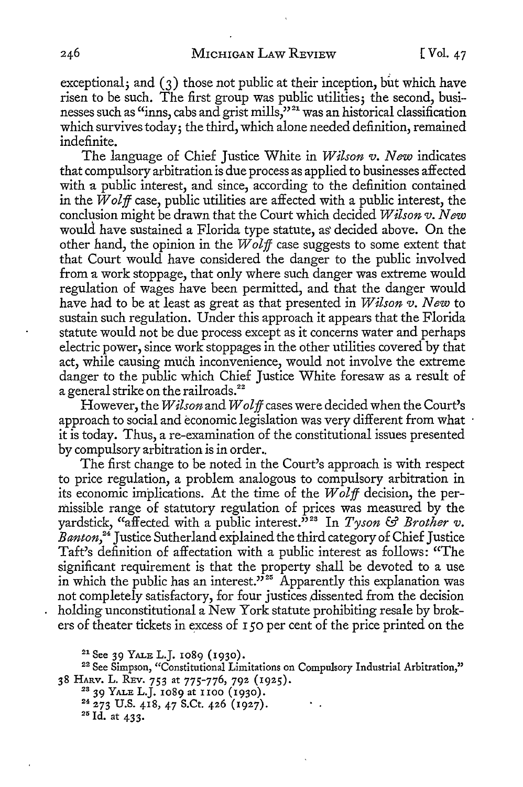exceptional; and  $(3)$  those not public at their inception, but which have risen to be such. The first group was public utilities; the second, businesses such as "inns, cabs and grist mills,"<sup>21</sup> was an historical classification which survives today; the third, which alone needed definition, remained indefinite.

The language of Chief Justice White in *Wilson v. New* indicates that compulsory arbitration is due process as applied to businesses affected with a public interest, and since, according to the definition contained in the *Wolff* case, public utilities are affected with a public interest, the conclusion might be drawn that the Court which decided *Wilson v. New*  would have sustained a Florida type statute, as' decided above. On the other hand, the opinion in the *Wolff* case suggests to some extent that that Court would have considered the danger to the public involved from a work stoppage, that only where such danger was extreme would regulation of wages have been permitted, and that the danger would have had to be at least as great as that presented in *Wilson v. New* to sustain such regulation. Under this approach it appears that the Florida statute would not be due process except as it concerns water and perhaps electric power, since work stoppages in the other utilities covered by that act, while causing much inconvenience, would not involve the extreme danger to the public which Chief Justice White foresaw as a result of a general strike on the railroads.<sup>22</sup>

However, the *Wilson* and *Wolff* cases were decided when the Court's approach to social and economic legislation was very different from what it is today. Thus, a re-examination of the constitutional issues presented by compulsory arbitration is in order ..

The first change to be noted in the Court's approach is with respect to price regulation, a problem analogous to compulsory arbitration in its economic implications. At the time of the *Wolff* decision, the permissible range of statutory regulation of prices was measured by the yardstick, "affected with a public interest.<sup>32</sup> In *Tyson* & *Brother v*. *Banton,* 24 Justice Sutherland explained the third category of Chief Justice Taft's definition of affectation with a public interest as follows: "The significant requirement is that the property shall be devoted to a use in which the public has an interest."<sup>25</sup> Apparently this explanation was not completely satisfactory, for four justices dissented from the decision holding unconstitutional a New York statute prohibiting resale by brokers of theater tickets in excess of I *50* per cent of the price printed on the

<sup>21</sup> See 39 YALE L.J. 1089 (1930).

<sup>22</sup> See Simpson, "Constitutional Limitations on Compulsory Industrial Arbitration,"

38 HARV. L. REV. 753 at 775-776, 792 (1925).<br><sup>28</sup> 39 YALE L.J. 1089 at 1100 (1930).<br><sup>24</sup> 273 U.S. 418, 47 S.Ct. 426 (1927).<br><sup>25</sup> Id. at 433.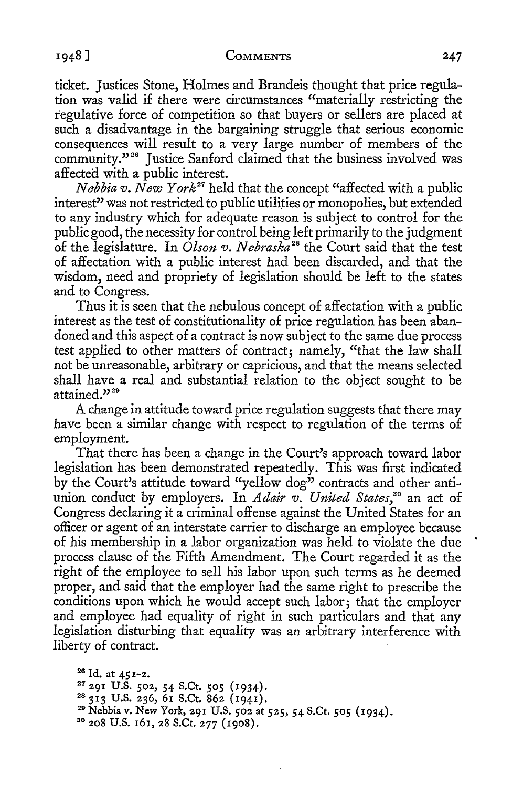ticket. Justices Stone, Holmes and Brandeis thought that price regulation was valid if there were circumstances "materially restricting the regulative force of competition so that buyers or sellers are placed at such a disadvantage in the bargaining struggle that serious economic consequences will result to a very large number of members of the community."<sup>26</sup> Justice Sanford claimed that the business involved was affected with a public interest.

*Nebbia v. New York*<sup>27</sup> held that the concept "affected with a public interest" was not restricted to public utilities or monopolies, but extended to any industry which for adequate reason is subject to control for the public good, the necessity for control being left primarily to the judgment of the legislature. In *Olson v. Nebraska*<sup>28</sup> the Court said that the test of affectation with a public interest had been discarded, and that the wisdom, need and propriety of legislation should be left to the states and to Congress.

Thus it is seen that the nebulous concept of affectation with a public interest as the test of constitutionality of price regulation has been abandoned and this aspect of a contract is now subject to the same due process test applied to other matters of contract; namely, "that the law shall not be unreasonable, arbitrary or capricious, and that the means selected shall have a real and substantial relation to the object sought to be attained."<sup>28</sup>

A change in attitude toward price regulation suggests that there may have been a similar change with respect to regulation of the terms of employment.

That there has been a change in the Court's approach toward labor legislation has been demonstrated repeatedly. This was first indicated by the Court's attitude toward "yellow dog" contracts and other antiunion conduct by employers. In *Adair v. United States*,<sup>80</sup> an act of Congress declaring it a criminal offense against the United States for an officer or agent of an interstate carrier to discharge an employee because of his membership in a labor organization was held to violate the due process clause of the Fifth Amendment. The Court regarded it as the right of the employee to sell his labor upon such terms as he deemed proper, and said that the employer had the same right to prescribe the conditions upon which he would accept such labor; that the employer and employee had equality of right in such particulars and that any legislation disturbing that equality was an arbitrary interference with liberty of contract.

<sup>26</sup> Id. at 451-2.<br><sup>27</sup> 291 U.S. 502, 54 S.Ct. 505 (1934).<br><sup>28</sup> 313 U.S. 236, 61 S.Ct. 862 (1941).<br><sup>29</sup> Nebbia v. New York, 291 U.S. 502 at 525, 54 S.Ct. 505 (1934). so 208 U.S. 161, 28 S.Ct. 277 (1908).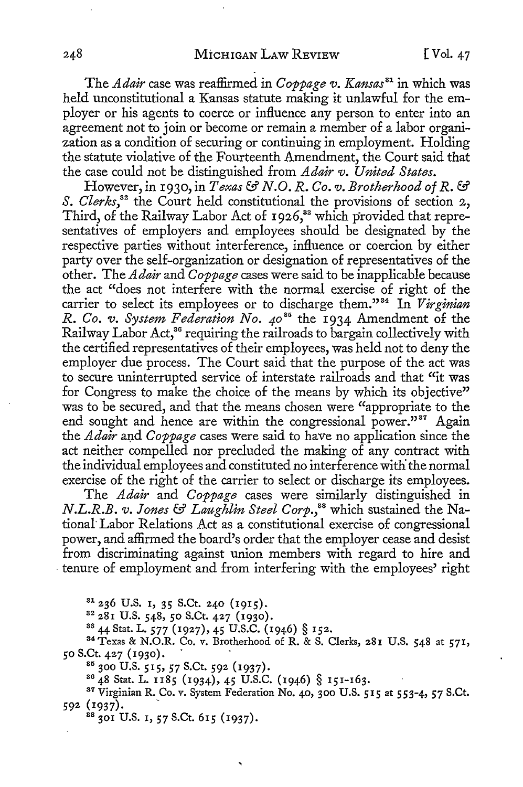The *Adair* case was reaffirmed in *Coppage v. Kansas <sup>81</sup>*in which was held unconstitutional a Kansas statute making it unlawful for the employer or his agents to coerce or influence any person to enter into an agreement not to join or become or remain a member of a labor organization as a condition of securing or continuing in employment. Holding the statute violative of the Fourteenth Amendment, the Court said that the case could not be distinguished from *Adair v. United States.* 

However, in r930, in *Texas* & *N.O. R. Co. v. Brotherhood of R.* & *S. Clerks*,<sup>32</sup> the Court held constitutional the provisions of section 2, Third, of the Railway Labor Act of 1926,<sup>33</sup> which provided that representatives of employers and employees should be designated by the respective parties without interference, influence or coercion by either party over the self-organization or designation of representatives of the other. The *Adair* and *Coppage* cases were said to be inapplicable because the act "does not interfere with the normal exercise of right of the carrier to select its employees or to discharge them."<sup>34</sup> In *Virginian R. Co. v. System Federation No. 40*<sup>35</sup> the 1934 Amendment of the Railway Labor Act,<sup>36</sup> requiring the railroads to bargain collectively with the certified representatives of their employees, was held not to deny the employer due process. The Court said that the purpose of the act was to secure uninterrupted service of interstate railroads and that "it was for Congress to make the choice of the means by which its objective" was to be secured, and that the means chosen were "appropriate to the end sought and hence are within the congressional power."<sup>37</sup> Again the *Adair* and *Coppage* cases were said to have no application since the act neither compelled nor precluded the making of any contract with the individual employees and constituted no interference with the normal exercise of the right of the carrier to select or discharge its employees.

The *Adair* and *Coppage* cases were similarly distinguished in *N.L.R.B. v. Jones* & *Laughlin Steel Corp.,88* which sustained the National' Labor Relations Act as a constitutional exercise of congressional power, and affirmed the board's order that the employer cease and desist from discriminating against union members with regard to hire and • tenure of employment and from interfering with the employees' right

<sup>81</sup> 236 U.S. 1, 35 S.Ct. 240 (1915).<br><sup>82</sup> 281 U.S. 548, 50 S.Ct. 427 (1930).<br><sup>83</sup> 44 Stat. L. 577 (1927), 45 U.S.C. (1946) § 152.<br><sup>84</sup> Texas & N.O.R. Co. v. Brotherhood of R. & S. Clerks, 281 U.S. 548 at 571, 50 S.Ct. 427 (1930).<br><sup>85</sup> 300 U.S. 515, 57 S.Ct. 592 (1937).<br><sup>86</sup> 48 Stat. L. 1185 (1934), 45 U.S.C. (1946) § 151-163.<br><sup>87</sup> Virginian R. Co. v. System Federation No. 40, 300 U.S. 515 at 553-4, 57 S.Ct.

592 (1937).<br><sup>88</sup> 301 U.S. 1, 57 S.Ct. 615 (1937).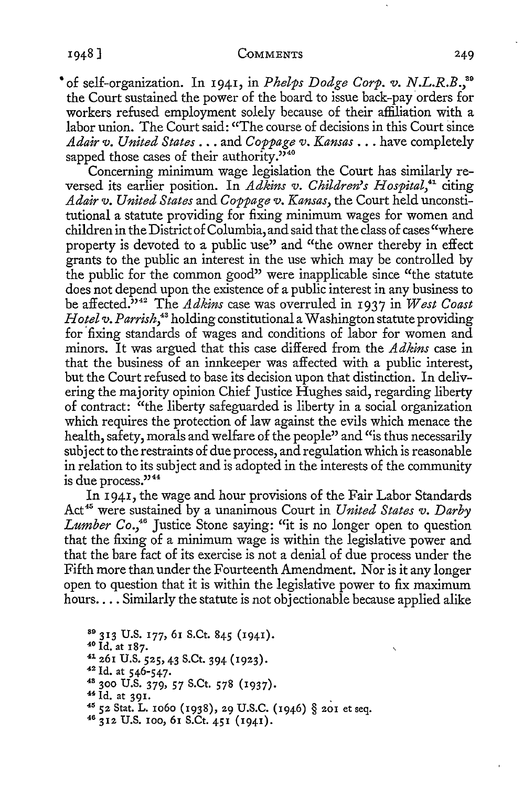COMMENTS 249

• of self-organization. In 1941, in *Phelps Dodge Corp. v. N.L.R.B.,*<sup>39</sup> the Court sustained the power of the board to issue back-pay orders for workers refused employment solely because of their affiliation with a labor union. The Court said: "The course of decisions in this Court since *Adair v. United States ...* and *Coppage v. Kansas ...* have completely sapped those cases of their authority."<sup>340</sup>

Concerning minimum wage legislation the Court has similarly reversed its earlier position. In *Adkins v. Children's Hospital*,<sup>41</sup> citing *Adair v. United States* and *Coppage v. Kansas,* the Court held unconstitutional a statute providing for fixing minimum wages for women and children in the District of Columbia, and said that the class of cases "where property is devoted to a public use" and "the owner thereby in effect grants to the public an interest in the use which may be controlled by the public for the common good" were inapplicable since "the statute does not depend upon the existence of a public interest in any business to be affected." 42 The *Adkins* case was overruled in 1937 in *West Coast Hotel v. Parrish*,<sup>43</sup> holding constitutional a Washington statute providing for fixing standards of wages and conditions of labor for women and minors. It was argued that this case differed from the *Adkins* case in that the business of an innkeeper was affected with a public interest, but the Court refused to base its decision upon that distinction. In delivering the majority opinion Chief Justice Hughes said, regarding liberty of contract: "the liberty safeguarded is liberty in a social organization which requires the protection of law against the evils which menace the health, safety, morals and welfare of the people" and "is thus necessarily subject to the restraints of due process, and regulation which is reasonable in relation to its subject and is adopted in the interests of the community is due process."<sup>44</sup>

In 1941, the wage and hour provisions of the Fair Labor Standards Act<sup>45</sup> were sustained by a unanimous Court in *United States v. Darby Lumber Co.,46* Justice Stone saying: "it is no longer open to question that the fixing of a minimum wage is within the legislative power and that the bare fact of its exercise is not a denial of due process under the Fifth more than under the Fourteenth Amendment. Nor is it any longer open to question that it is within the legislative power to fix maximum hours.... Similarly the statute is not objectionable because applied alike

<sup>89</sup> 313 U.S. 177, 61 S.Ct. 845 (1941).<br><sup>40</sup> Id. at 187.<br><sup>41</sup> 261 U.S. 525, 43 S.Ct. 394 (1923).<br><sup>42</sup> Id. at 546-547.<br><sup>48</sup> 300 U.S. 379, 57 S.Ct. 578 (1937).<br><sup>44</sup> Id. at 391.<br><sup>45</sup> 52 Stat. L. 1060 (1938), 29 U.S.C. (1946)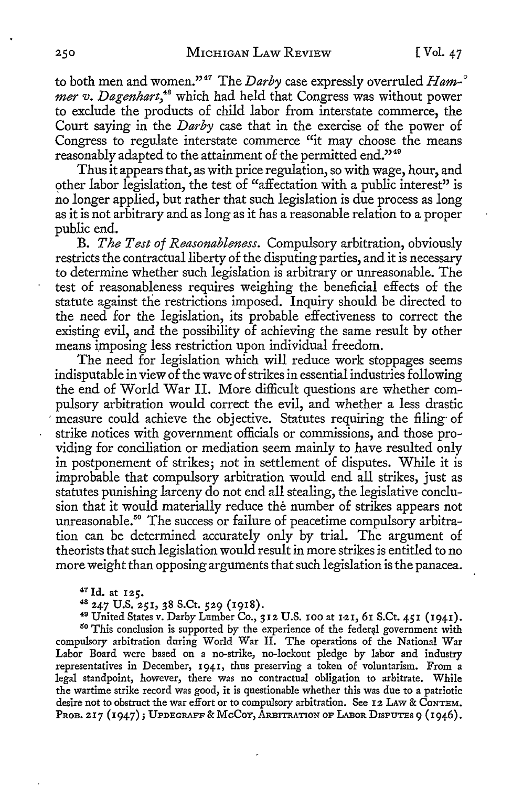to both men and women."<sup>47</sup> The *Darby* case expressly overruled *Ham-*<sup>o</sup> mer v. Dagenhart,<sup>48</sup> which had held that Congress was without power to exclude the products of child labor from interstate commerce, the Court saying in the *Darby* case that in the exercise of the power of Congress to regulate interstate commerce "it may choose the means reasonably adapted to the attainment of the permitted end."49

Thus it appears that, as with price regulation, so with wage, hour, and other labor legislation, the test of "affectation with a public interest" is no longer applied, but rather that such legislation is due process as long as it is not arbitrary and as long as it has a reasonable relation to a proper public end.

B. *The Test of Reasonableness.* Compulsory arbitration, obviously restricts the contractual liberty of the disputing parties, and it is necessary to determine whether such legislation is arbitrary or unreasonable. The test of reasonableness requires weighing the beneficial effects of the statute against the restrictions imposed. Inquiry should be directed to the need for the legislation, its probable effectiveness to correct the existing evil, and the possibility of achieving the same result by other means imposing less restriction upon individual freedom.

The need for legislation which will reduce work stoppages seems indisputable in view of the wave of strikes in essential industries following the end of World War II. More difficult questions are whether compulsory arbitration would correct the evil, and whether a less drastic measure could achieve the objective. Statutes requiring the filing of strike notices with government officials or commissions, and those providing for conciliation or mediation seem mainly to have resulted only in postponement of strikes; not in settlement of disputes. While it is improbable that compulsory arbitration would end all strikes, just as statutes punishing larceny do not end all stealing, the legislative conclusion that it would materially reduce the number of strikes appears not unreasonable.<sup>50</sup> The success or failure of peacetime compulsory arbitration can be determined accurately only by trial. The argument of theorists that such legislation would result in more strikes is entitled to no more weight than opposing arguments that such legislation is the panacea.

<sup>47</sup> Id. at **125.** 48 247 U.S. 251, 38 S.Ct. 529 (1918). 49 United States v. Darby Lumber Co., 312 U.S. IOO at 1-21, 61 S.Ct. 451 (1941). <sup>50</sup> This conclusion is supported by the experience of the federal government with compulsory arbitration during World War II. The operations of the National War Labor Board were based on a no-strike, no-lockout pledge by labor and industry representatives in December, 1941, thus preserving a token of voluntarism. From a legal standpoint, however, there was no contractual obligation to arbitrate. While the wartime strike record was good, it is questionable whether this was due to a patriotic desire not to obstruct the war effort or to compulsory arbitration. See 12 LAW & CoNTEM. PROB. 217 (1947); UPDEGRAFF & McCoy, ARBITRATION OF LABOR DISPUTES 9 (1946).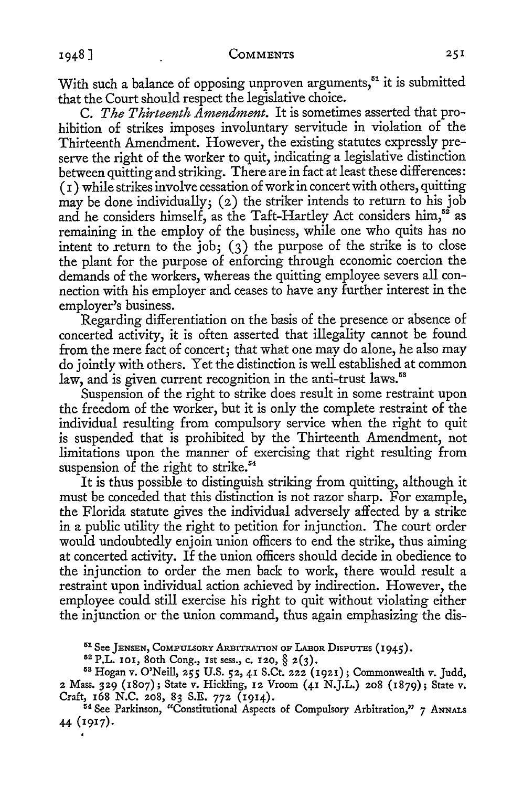With such a balance of opposing unproven arguments,<sup>51</sup> it is submitted that the Court should respect the legislative choice.

C. *The Thirteenth Amendment.* It is sometimes asserted that prohibition of strikes imposes involuntary servitude in violation of the Thirteenth Amendment. However, the existing statutes expressly preserve the right of the worker to quit, indicating a legislative distinction between quitting and striking. There are in fact at least these differences:  $(i)$  while strikes involve cessation of work in concert with others, quitting may be done individually;  $(2)$  the striker intends to return to his job and he considers himself, as the Taft-Hartley Act considers  $\lim_{n \to \infty}$  as remaining in the employ of the business, while one who quits has no intent to return to the job; (3) the purpose of the strike is to close the plant for the purpose of enforcing through economic coercion the demands of the workers, whereas the quitting employee severs all connection with his employer and ceases to have any further interest in the employer's business.

Regarding differentiation on the basis of the presence or absence of concerted activity, it is often asserted that illegality cannot be found from the mere fact of concert; that what one may do alone, he also may do jointly with others. Yet the distinction is well established at common law, and is given current recognition in the anti-trust laws.<sup>58</sup>

Suspension of the right to strike does result in some restraint upon the freedom of the worker, but it is only the complete restraint of the individual resulting from compulsory service when the right to quit is suspended that is prohibited by the Thirteenth Amendment, not limitations upon the manner of exercising that right resulting from suspension of the right to strike.<sup>54</sup>

It is thus possible to distinguish striking from quitting, although it must be conceded that this distinction is not razor sharp. For example, the Florida statute gives the individual adversely affected by a strike in a public utility the right to petition for injunction. The court order would undoubtedly enjoin union officers to end the strike, thus aiming at concerted activity. If the union officers should decide in obedience to the injunction to order the men back to work, there would result a restraint upon individual action achieved by indirection. However, the employee could still exercise his right to quit without violating either the injunction or the union command, thus again emphasizing the dis-

<sup>51</sup> See JENSEN, COMPULSORY ARBITRATION OF LABOR DISPUTES (1945).<br><sup>52</sup> P.L. 101, 80th Cong., 1st sess., c. 120, § 2(3).<br><sup>58</sup> Hogan v. O'Neill, 255 U.S. 52, 41 S.Ct. 222 (1921); Commonwealth v. Judd, 2 Mass. 329 (1807); State *v.* Hickling, 12 Vroom (41 N.J.L.) 208 {1879); State *v.*  Craft, 168 N.C. 208, 83 S.E. 772 (1914).<br><sup>54</sup> See Parkinson, "Constitutional Aspects of Compulsory Arbitration," 7 ANNALS

44 (1917).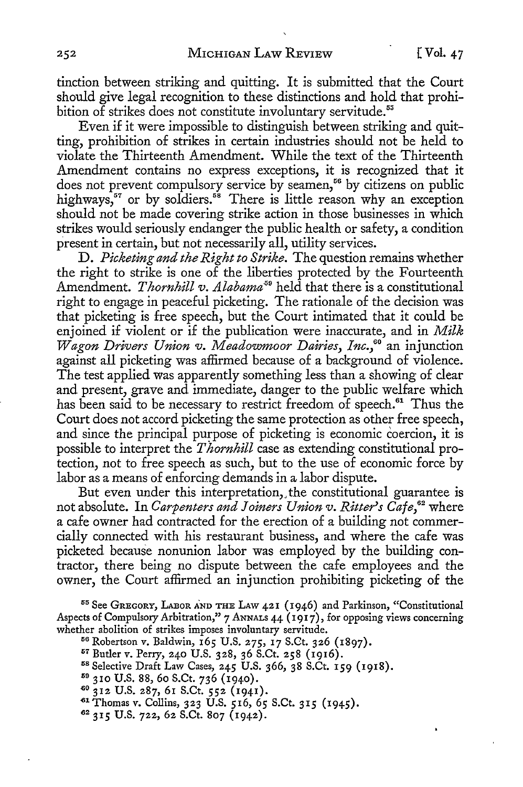tinction between striking and quitting. It is submitted that the Court should give legal recognition to these distinctions and hold that prohibition of strikes does not constitute involuntary servitude.<sup>55</sup>

Even if it were impossible to distinguish between striking and quitting, prohibition of strikes in certain industries should not be held to violate the Thirteenth Amendment. While the text of the Thirteenth Amendment contains no express exceptions, it is recognized that it does not prevent compulsory service by seamen,<sup>56</sup> by citizens on public highways,<sup>57</sup> or by soldiers.<sup>58</sup> There is little reason why an exception should not be made covering strike action in those businesses in which strikes would seriously endanger the public health or safety, a condition present in certain, but not necessarily all, utility services.

D. *Picketing and the Right to Strike.* The question remains whether the right to strike is one of the liberties protected by the Fourteenth Amendment. *Thornhill v. Alabama*<sup>59</sup> held that there is a constitutional right to engage in peaceful picketing. The rationale of the decision was that picketing is free speech, but the Court intimated that it could be enjoined if violent or if the publication were inaccurate, and in *Milk Wagon Drivers Union v. Meadowmoor Dairies, lnc.,6°* an injunction against all picketing was affirmed because of a background of violence. The test applied was apparently something less than a showing of clear and present, grave and immediate, danger to the public welfare which has been said to be necessary to restrict freedom of speech.<sup>61</sup> Thus the Court does not accord picketing the same protection as other free speech, and since the principal purpose of picketing is economic coercion, it is possible to interpret the *Thornhill* case as extending constitutional protection, not to free speech as such, but to the use of economic force by labor as a means of enforcing demands in a labor dispute.

But even under this interpretation,. the constitutional guarantee is not absolute. In *Carpenters and Joiners Union v. Ritter's Cafe,62* where a cafe owner had contracted for the erection of a building not commercially connected with his restaurant business, and where the cafe was picketed because nonunion labor was employed by the building contractor, there being no dispute between the cafe employees and the owner, the Court affirmed an injunction prohibiting picketing of the

55 See GREGORY, LABOR AND THE LAW 421 (1946) and Parkinson, "Constitutional Aspects of Compulsory Arbitration," 7 ANNALS 44 (1917), for opposing views concerning whether abolition of strikes imposes involuntary servitude.<br><sup>56</sup> Robertson v. Baldwin, 165 U.S. 275, 17 S.Ct. 326 (1897).<br><sup>57</sup> Butler v. Perry, 240 U.S. 328, 36 S.Ct. 258 (1916).<br><sup>58</sup> Selective Draft Law Cases, 245 U.S. 36

- 
- 
- 
- 
- <sup>~</sup> <sup>0</sup>312 U.S. 287, 61 S.Ct. *552* (1941).
- <sup>~</sup> <sup>1</sup> Thomas v. Collins, 323 U.S. 516, *65* S.Ct. 315 (1945). 62 315 U.S. 722, 62 S.Ct. 807 (1942).
-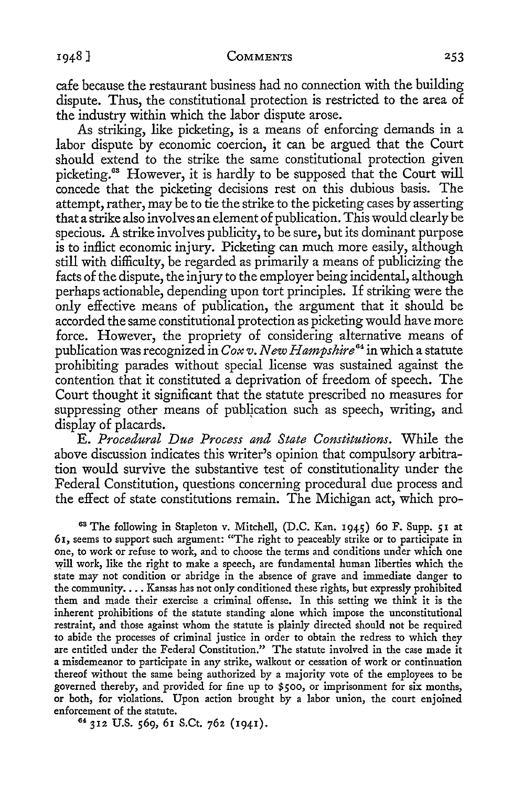cafe because the restaurant business had no connection with the building dispute. Thus, the constitutional protection is restricted to the area of the industry within which the labor dispute arose.

As striking, like picketing, is a means of enforcing demands in a labor dispute by economic coercion, it can be argued that the Court should extend to the strike the same constitutional protection given picketing.63 However, it is hardly to be supposed that the Court will concede that the picketing decisions rest on this dubious basis. The attempt, rather, may be to tie the strike to the picketing cases by asserting that a strike also involves an element of publication. This would clearly be specious. A strike involves publicity, to be sure, but its dominant purpose is to inflict economic injury. Picketing can much more easily, although still with difficulty, be regarded as primarily a means of publicizing the facts of the dispute, the in jury to the employer being incidental, although perhaps actionable, depending upon tort principles. If striking were the only effective means of publication, the argument that it should be accorded the same constitutional protection as picketing would have more force. However, the propriety of considering alternative means of publication was recognized in *Cox v. New Hampshire* 64 in which a statute prohibiting parades without special license was sustained against the contention that it constituted a deprivation of freedom of speech. The Court thought it significant that the statute prescribed no measures for suppressing other means of publication such as speech, writing, and display of placards.

E. *Procedural Due Process and State Constitutions.* While the above discussion indicates this writer's opinion that compulsory arbitration would survive the substantive test of constitutionality under the Federal Constitution, questions concerning procedural due process and the effect of state constitutions remain. The Michigan act, which pro-

<sup>63</sup>The following in Stapleton v. Mitchell, (D.C. Kan. 1945) 60 F. Supp. 51 at 61, seems to support such argument: "The right to peaceably strike or to participate in one, to work or refuse to work, and to choose the terms and conditions under which one will work, like the right to make a speech, are fundamental human liberties which the state may not condition or abridge in the absence of grave and immediate danger to the community.... Kansas has not only conditioned these rights, but expressly prohibited them and made their exercise a criminal offense. In this setting we think it is the inherent prohibitions of the statute standing alone which impose the unconstitutional restraint, and those against whom the statute is plainly directed should not be required to abide the processes of criminal justice in order to obtain the redress to which they are entitled under the Federal Constitution." The statute involved in the case made it a misdemeanor to participate in any strike, walkout or cessation of work or continuation thereof without the same being authorized by a majority vote of the employees to be governed thereby, and provided for fine up to \$500, or imprisonment for six months, or both, for violations. Upon action brought by a labor union, the court enjoined enforcement of the statute.<br><sup>64</sup> 312 U.S. 569, 61 S.Ct. 762 (1941).